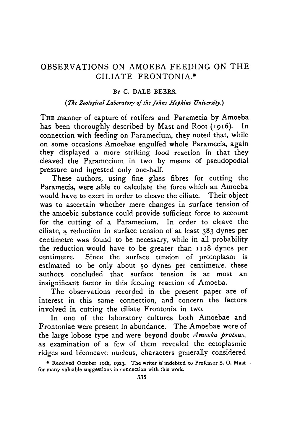### OBSERVATIONS ON AMOEBA FEEDING ON THE CILIATE FRONTONIA.\*

### BY C. DALE BEERS.

### *(The Zoological Laboratory of the Johns Hopkins University.)*

THE manner of capture of rotifers and Paramecia by Amoeba has been thoroughly described by Mast and Root (1916). connection with feeding on Paramecium, they noted that, while on some occasions Amoebae engulfed whole Paramecia, again they displayed a more striking food reaction in that they cleaved the Paramecium in two by means of pseudopodial pressure and ingested only one-half.

These authors, using fine glass fibres for cutting the Paramecia, were able to calculate the force which an Amoeba would have to exert in order to cleave the ciliate. Their object was to ascertain whether mere changes in surface tension of the amoebic substance could provide sufficient force to account for the cutting of a Paramecium. In order to cleave the ciliate, a reduction in surface tension of at least 383 dynes per centimetre was found to be necessary, while in all probability the reduction would have to be greater than 1118 dynes per centimetre. Since the surface tension of protoplasm is estimated to be only about 50 dynes per centimetre, these authors concluded that surface tension is at most an insignificant factor in this feeding reaction of Amoeba.

The observations recorded in the present paper are of interest in this same connection, and concern the factors involved in cutting the ciliate Frontonia in two.

In one of the laboratory cultures both Amoebae and Frontoniae were present in abundance. The Amoebae were of the large lobose type and were beyond doubt *Amoeba proteus,* as examination of a few of them revealed the ectoplasmic ridges and biconcave nucleus, characters generally considered

<sup>•</sup> Received October ioth, 1923. The writer is indebted to Professor S. O. Mast for many valuable suggestions in connection with this work.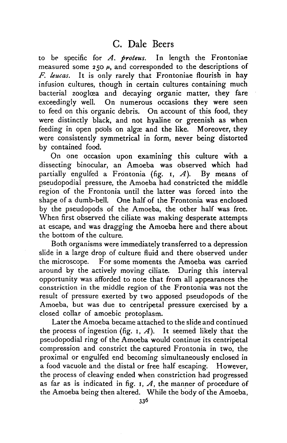to be specific for *A. proteus.* In length the Frontoniae measured some  $250 \mu$ , and corresponded to the descriptions of *F. leucas.* It is only rarely that Frontoniae flourish in hay infusion cultures, though in certain cultures containing much bacterial zooglœa and decaying organic matter, they fare exceedingly well. On numerous occasions they were seen to feed on this organic debris. On account of this food, they were distinctly black, and not hyaline or greenish as when feeding in open pools on algae and the like. Moreover, they were consistently symmetrical in form, never being distorted by contained food.

On one occasion upon examining this culture with a dissecting binocular, an Amoeba was observed which had partially engulfed a Frontonia (fig. 1, *A).* By means of pseudopodial pressure, the Amoeba had constricted the middle region of the Frontonia until the latter was forced into the shape of a dumb-bell. One half of the Frontonia was enclosed by the pseudopods of the Amoeba, the other half was free. When first observed the ciliate was making desperate attempts at escape, and was dragging the Amoeba here and there about the bottom of the culture.

Both organisms were immediately transferred to a depression slide in a large drop of culture fluid and there observed under the microscope. For some moments the Amoeba was carried around by the actively moving ciliate. During this interval opportunity was afforded to note that from all appearances the constriction in the middle region of the Frontonia was not the result of pressure exerted by two apposed pseudopods of the Amoeba, but was due to centripetal pressure exercised by a closed collar of amoebic protoplasm.

Later the Amoeba became attached to the slide and continued the process of ingestion (fig. 1,  $A$ ). It seemed likely that the pseudopodial ring of the Amoeba would continue its centripetal compression and constrict the captured Frontonia in two, the proximal or engulfed end becoming simultaneously enclosed in a food vacuole and the distal or free half escaping. However, the process of cleaving ended when constriction had progressed as far as is indicated in fig. 1, *A,* the manner of procedure of the Amoeba being then altered. While the body of the Amoeba,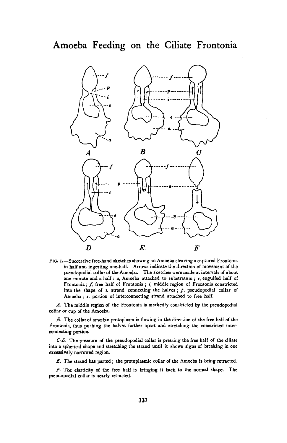Amoeba Feeding on the Ciliate Frontonia



**FIG. I.—Successive free-hand sketches showing an Amoeba cleaving a captured Frontonia in half and ingesting one-half. Arrows indicate the direction of movement of the pseudopodial collar of the Amoeba. The sketches were made at intervals of about one minute and a half:** *a,* **Amoeba attached to substratum ;** *t,* **engulfed half of** Frontonia; f, free half of Frontonia; i, middle region of Frontonia constricted into the shape of a strand connecting the halves;  $\rho$ , pseudopodial collar of **Amoeba;** *i,* **portion of interconnecting strand attached to free half.**

*A.* **The middle region of the Froatonia is markedly constricted by the pseudopodial coHar or cup of the Amoeba.**

*B.* **The collar of amoebic protoplasm is flowing in the direction of the free half of the Frontonia, thus pushing the halves farther apart and stretching the constricted interconnecting portion.**

*C-D.* **The pressure of the pseudopodial collar is pressing the free half of the ciliate into a spherical shape and stretching the strand until it shows signs of breaking in one excessively narrowed region.**

*E.* **The strand has parted ; the protoplasmic collar of the Amoeba is being retracted.**

*F.* **The elasticity of the free half is bringing it back to the normal shape. The pseudopodial collar is nearly retracted.**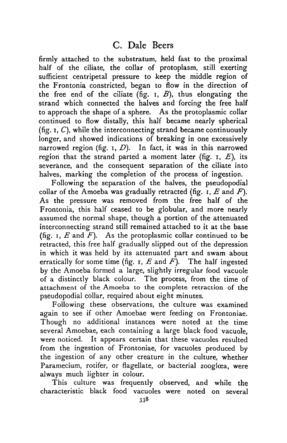firmly attached to the substratum, held fast to the proximal half of the ciliate, the collar of protoplasm, still exerting sufficient centripetal pressure to keep the middle region of the Frontonia constricted, began to flow in the direction of the free end of the ciliate (fig. i, *B},* thus elongating the strand which connected the halves and forcing the free half to approach the shape of a sphere. As the protoplasmic collar continued to flow distally, this half became nearly spherical (fig.  $I, C$ ), while the interconnecting strand became continuously longer, and showed indications of breaking in one excessively narrowed region (fig. i, *D).* In fact, it was in this narrowed region that the strand parted a moment later (fig. i, *E),* its severance, and the consequent separation of the ciliate into halves, marking the completion of the process of ingestion.

Following the separation of the halves, the pseudopodial collar of the Amoeba was gradually retracted (fig. i, *E* and *F).* As the pressure was removed from the free half of the Frontonia, this half ceased to be globular, and more nearly assumed the normal shape, though a portion of the attenuated interconnecting strand still remained attached to it at the base (fig.  $I$ ,  $E$  and  $F$ ). As the protoplasmic collar continued to be retracted, this free half gradually slipped out of the depression in which it was held by its attenuated part and swam about erratically for some time (fig.  $r, E$  and  $F$ ). The half ingested by the Amoeba formed a large, slightly irregular food vacuole of a distinctly black colour. The process, from the time of attachment of the Amoeba to the complete retraction of the pseudopodial collar, required about eight minutes.

Following these observations, the culture was examined again to see if other Amoebae were feeding on Frontoniae. Though no additional instances were noted at the time several Amoebae, each containing a large black food vacuole, were noticed. It appears certain that these vacuoles resulted from the ingestion of Frontoniae, for vacuoles produced by the ingestion of any other creature in the culture, whether Paramecium, rotifer, or flagellate, or bacterial zooglœa, were always much lighter in colour.

This culture was frequently observed, and while the characteristic black food vacuoles were noted on several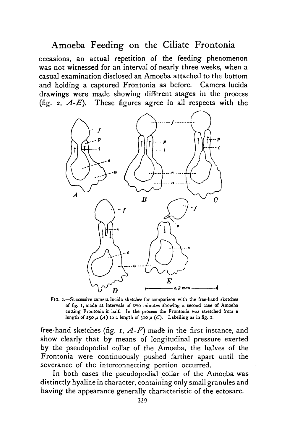## Amoeba Feeding on the Ciliate Frontonia

occasions, an actual repetition of the feeding phenomenon was not witnessed for an interval of nearly three weeks, when a casual examination disclosed an Amoeba attached to the bottom and holding a captured Frontonia as before. Camera lucida drawings were made showing different stages in the process (fig.  $2$ ,  $A$ - $E$ ). These figures agree in all respects with the



FlG. *2.*—Successive camera lucida sketches for comparison with the free-hand sketches of fig. I, made at intervals of two minutes showing a second case of Amoeba cutting Frontonia in half. In the process the Frontonia was stretched from a length of 250  $\mu$  (A) to a length of 310  $\mu$  (C). Labelling as in fig. 1.

free-hand sketches (fig. i, *A-F)* made in the first instance, and show clearly that by means of longitudinal pressure exerted by the pseudopodial collar of the Amoeba, the halves of the Frontonia were continuously pushed farther apart until the severance of the interconnecting portion occurred.

In both cases the pseudopodial collar of the Amoeba was distinctly hyaline in character, containing only small granules and having the appearance generally characteristic of the ectosarc.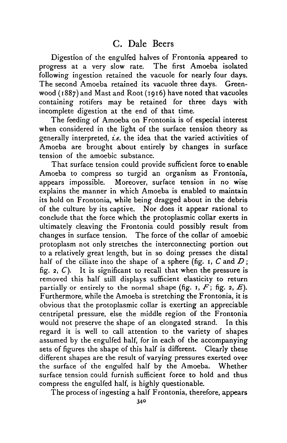Digestion of the engulfed halves of Frontonia appeared to progress at a very slow rate. The first Amoeba isolated following ingestion retained the vacuole for nearly four days. The second Amoeba retained its vacuole three days. Greenwood (1887) and Mast and Root (1916) have noted that vacuoles containing rotifers may be retained for three days with incomplete digestion at the end of that time.

The feeding of Amoeba on Frontonia is of especial interest when considered in the light of the surface tension theory as generally interpreted, *i.e.* the idea that the varied activities of Amoeba are brought about entirely by changes in surface tension of the amoebic substance.

That surface tension could provide sufficient force to enable Amoeba to compress so turgid an organism as Frontonia, appears impossible. Moreover, surface tension in no wise explains the manner in which Amoeba is enabled to maintain its hold on Frontonia, while being dragged about in the debris of the culture by its captive. Nor does it appear rational to conclude that the force which the protoplasmic collar exerts in ultimately cleaving the Frontonia could possibly result from changes in surface tension. The force of the collar of amoebic protoplasm not only stretches the interconnecting portion out to a relatively great length, but in so doing presses the distal half of the ciliate into the shape of a sphere (fig. 1, *C* and *D;* fig.  $2$ ,  $C$ ). It is significant to recall that when the pressure is removed this half still displays sufficient elasticity to return partially or entirely to the normal shape (fig. 1,  $F$ ; fig. 2,  $E$ ). Furthermore, while the Amoeba is stretching the Frontonia, it is obvious that the protoplasmic collar is exerting an appreciable centripetal pressure, else the middle region of the Frontonia would not preserve the shape of an elongated strand. In this regard it is well to call attention to the variety of shapes assumed by the engulfed half, for in each of the accompanying sets of figures the shape of this half is different. Clearly these different shapes are the result of varying pressures exerted over the surface of the engulfed half by the Amoeba. Whether surface tension could furnish sufficient force to hold and thus compress the engulfed half, is highly questionable.

The process of ingesting a half Frontonia, therefore, appears